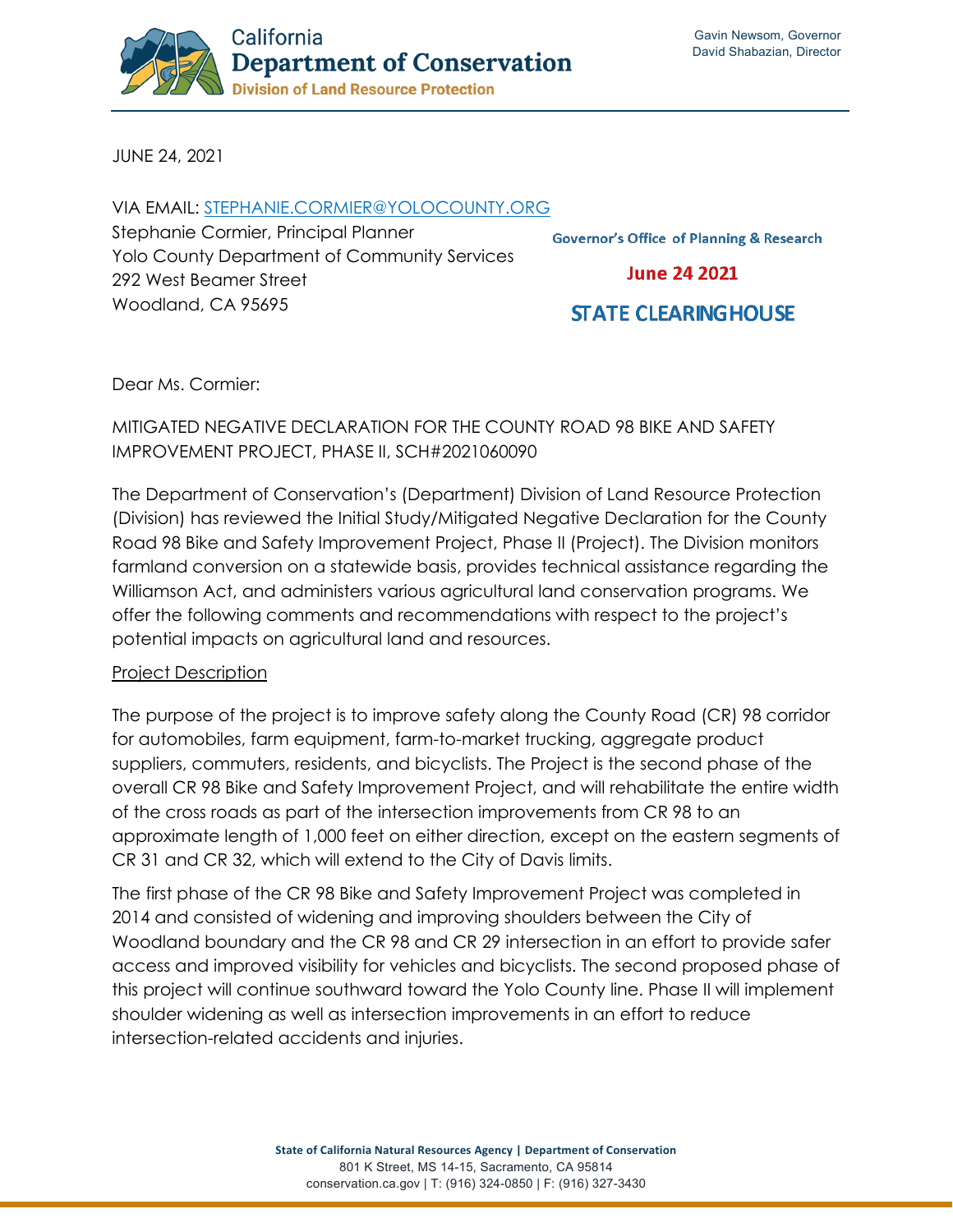

JUNE 24, 2021

VIA EMAIL: [STEPHANIE.CORMIER@YOLOCOUNTY.ORG](mailto:stephanie.cormier@yolocounty.org) Stephanie Cormier, Principal Planner Yolo County Department of Community Services 292 West Beamer Street Woodland, CA 95695

**Governor's Office of Planning & Research** 

**June 24 2021** 

# **STATE CLEARING HOUSE**

Dear Ms. Cormier:

## MITIGATED NEGATIVE DECLARATION FOR THE COUNTY ROAD 98 BIKE AND SAFETY IMPROVEMENT PROJECT, PHASE II, SCH#2021060090

The Department of Conservation's (Department) Division of Land Resource Protection (Division) has reviewed the Initial Study/Mitigated Negative Declaration for the County Road 98 Bike and Safety Improvement Project, Phase II (Project). The Division monitors farmland conversion on a statewide basis, provides technical assistance regarding the Williamson Act, and administers various agricultural land conservation programs. We offer the following comments and recommendations with respect to the project's potential impacts on agricultural land and resources.

#### Project Description

The purpose of the project is to improve safety along the County Road (CR) 98 corridor for automobiles, farm equipment, farm-to-market trucking, aggregate product suppliers, commuters, residents, and bicyclists. The Project is the second phase of the overall CR 98 Bike and Safety Improvement Project, and will rehabilitate the entire width of the cross roads as part of the intersection improvements from CR 98 to an approximate length of 1,000 feet on either direction, except on the eastern segments of CR 31 and CR 32, which will extend to the City of Davis limits.

The first phase of the CR 98 Bike and Safety Improvement Project was completed in 2014 and consisted of widening and improving shoulders between the City of Woodland boundary and the CR 98 and CR 29 intersection in an effort to provide safer access and improved visibility for vehicles and bicyclists. The second proposed phase of this project will continue southward toward the Yolo County line. Phase II will implement shoulder widening as well as intersection improvements in an effort to reduce intersection-related accidents and injuries.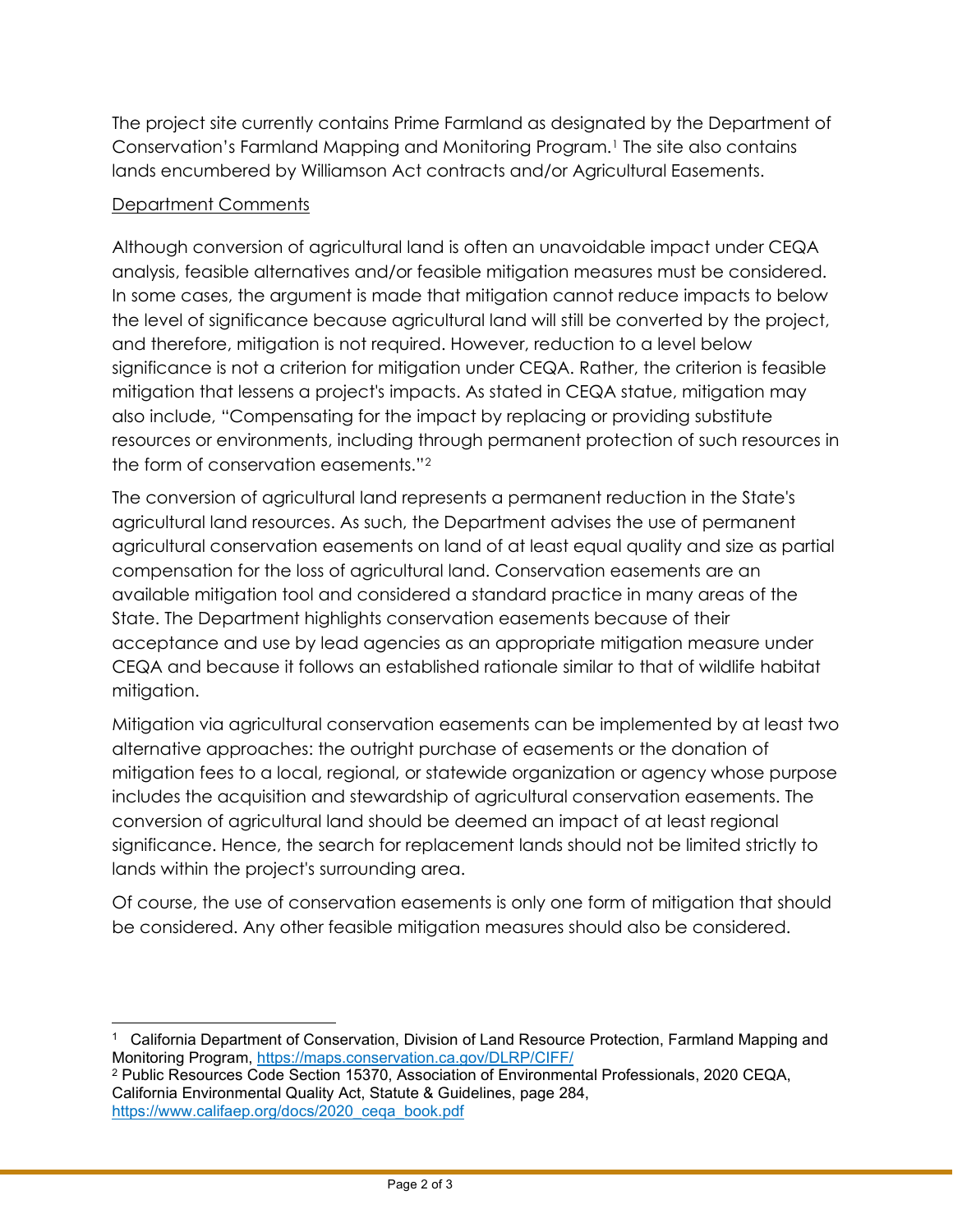The project site currently contains Prime Farmland as designated by the Department of Conservation's Farmland Mapping and Monitoring Program[.1](#page-1-0) The site also contains lands encumbered by Williamson Act contracts and/or Agricultural Easements.

### Department Comments

Although conversion of agricultural land is often an unavoidable impact under CEQA analysis, feasible alternatives and/or feasible mitigation measures must be considered. In some cases, the argument is made that mitigation cannot reduce impacts to below the level of significance because agricultural land will still be converted by the project, and therefore, mitigation is not required. However, reduction to a level below significance is not a criterion for mitigation under CEQA. Rather, the criterion is feasible mitigation that lessens a project's impacts. As stated in CEQA statue, mitigation may also include, "Compensating for the impact by replacing or providing substitute resources or environments, including through permanent protection of such resources in the form of conservation easements."[2](#page-1-1)

The conversion of agricultural land represents a permanent reduction in the State's agricultural land resources. As such, the Department advises the use of permanent agricultural conservation easements on land of at least equal quality and size as partial compensation for the loss of agricultural land. Conservation easements are an available mitigation tool and considered a standard practice in many areas of the State. The Department highlights conservation easements because of their acceptance and use by lead agencies as an appropriate mitigation measure under CEQA and because it follows an established rationale similar to that of wildlife habitat mitigation.

Mitigation via agricultural conservation easements can be implemented by at least two alternative approaches: the outright purchase of easements or the donation of mitigation fees to a local, regional, or statewide organization or agency whose purpose includes the acquisition and stewardship of agricultural conservation easements. The conversion of agricultural land should be deemed an impact of at least regional significance. Hence, the search for replacement lands should not be limited strictly to lands within the project's surrounding area.

Of course, the use of conservation easements is only one form of mitigation that should be considered. Any other feasible mitigation measures should also be considered.

<span id="page-1-0"></span><sup>1</sup> California Department of Conservation, Division of Land Resource Protection, Farmland Mapping and Monitoring Program,<https://maps.conservation.ca.gov/DLRP/CIFF/>

<span id="page-1-1"></span><sup>2</sup> Public Resources Code Section 15370, Association of Environmental Professionals, 2020 CEQA, California Environmental Quality Act, Statute & Guidelines, page 284, [https://www.califaep.org/docs/2020\\_ceqa\\_book.pdf](https://www.califaep.org/docs/2020_ceqa_book.pdf)